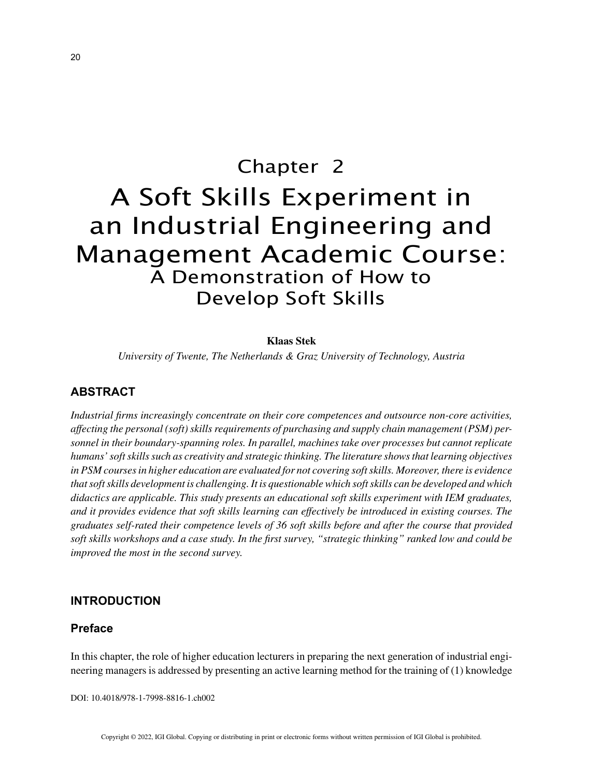# Chapter 2 A Soft Skills Experiment in an Industrial Engineering and Management Academic Course: A Demonstration of How to Develop Soft Skills

## **Klaas Stek**

*University of Twente, The Netherlands & Graz University of Technology, Austria*

## **ABSTRACT**

*Industrial firms increasingly concentrate on their core competences and outsource non-core activities, affecting the personal (soft) skills requirements of purchasing and supply chain management (PSM) personnel in their boundary-spanning roles. In parallel, machines take over processes but cannot replicate humans' soft skills such as creativity and strategic thinking. The literature shows that learning objectives in PSM courses in higher education are evaluated for not covering soft skills. Moreover, there is evidence that soft skills development is challenging. It is questionable which soft skills can be developed and which didactics are applicable. This study presents an educational soft skills experiment with IEM graduates, and it provides evidence that soft skills learning can effectively be introduced in existing courses. The graduates self-rated their competence levels of 36 soft skills before and after the course that provided soft skills workshops and a case study. In the first survey, "strategic thinking" ranked low and could be improved the most in the second survey.*

## **INTRODUCTION**

## **Preface**

In this chapter, the role of higher education lecturers in preparing the next generation of industrial engineering managers is addressed by presenting an active learning method for the training of (1) knowledge

DOI: 10.4018/978-1-7998-8816-1.ch002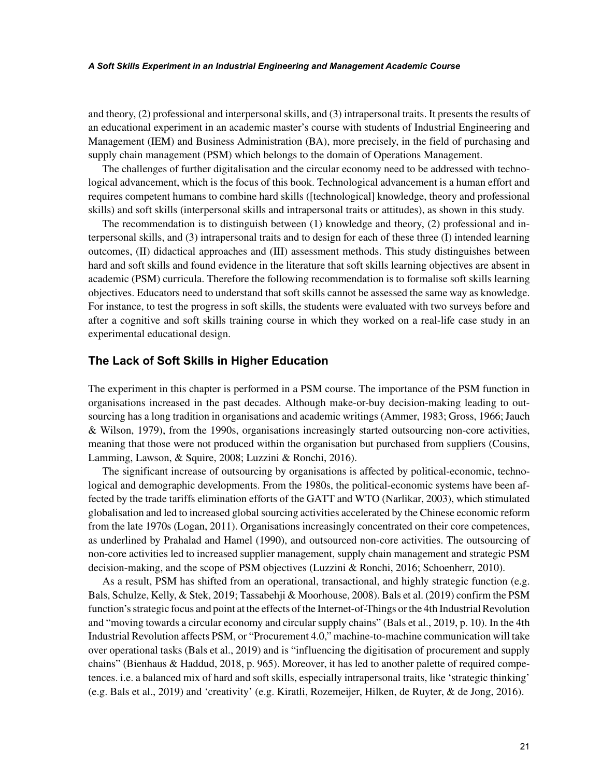#### *A Soft Skills Experiment in an Industrial Engineering and Management Academic Course*

and theory, (2) professional and interpersonal skills, and (3) intrapersonal traits. It presents the results of an educational experiment in an academic master's course with students of Industrial Engineering and Management (IEM) and Business Administration (BA), more precisely, in the field of purchasing and supply chain management (PSM) which belongs to the domain of Operations Management.

The challenges of further digitalisation and the circular economy need to be addressed with technological advancement, which is the focus of this book. Technological advancement is a human effort and requires competent humans to combine hard skills ([technological] knowledge, theory and professional skills) and soft skills (interpersonal skills and intrapersonal traits or attitudes), as shown in this study.

The recommendation is to distinguish between (1) knowledge and theory, (2) professional and interpersonal skills, and (3) intrapersonal traits and to design for each of these three (I) intended learning outcomes, (II) didactical approaches and (III) assessment methods. This study distinguishes between hard and soft skills and found evidence in the literature that soft skills learning objectives are absent in academic (PSM) curricula. Therefore the following recommendation is to formalise soft skills learning objectives. Educators need to understand that soft skills cannot be assessed the same way as knowledge. For instance, to test the progress in soft skills, the students were evaluated with two surveys before and after a cognitive and soft skills training course in which they worked on a real-life case study in an experimental educational design.

## **The Lack of Soft Skills in Higher Education**

The experiment in this chapter is performed in a PSM course. The importance of the PSM function in organisations increased in the past decades. Although make-or-buy decision-making leading to outsourcing has a long tradition in organisations and academic writings (Ammer, 1983; Gross, 1966; Jauch & Wilson, 1979), from the 1990s, organisations increasingly started outsourcing non-core activities, meaning that those were not produced within the organisation but purchased from suppliers (Cousins, Lamming, Lawson, & Squire, 2008; Luzzini & Ronchi, 2016).

The significant increase of outsourcing by organisations is affected by political-economic, technological and demographic developments. From the 1980s, the political-economic systems have been affected by the trade tariffs elimination efforts of the GATT and WTO (Narlikar, 2003), which stimulated globalisation and led to increased global sourcing activities accelerated by the Chinese economic reform from the late 1970s (Logan, 2011). Organisations increasingly concentrated on their core competences, as underlined by Prahalad and Hamel (1990), and outsourced non-core activities. The outsourcing of non-core activities led to increased supplier management, supply chain management and strategic PSM decision-making, and the scope of PSM objectives (Luzzini & Ronchi, 2016; Schoenherr, 2010).

As a result, PSM has shifted from an operational, transactional, and highly strategic function (e.g. Bals, Schulze, Kelly, & Stek, 2019; Tassabehji & Moorhouse, 2008). Bals et al. (2019) confirm the PSM function's strategic focus and point at the effects of the Internet-of-Things or the 4th Industrial Revolution and "moving towards a circular economy and circular supply chains" (Bals et al., 2019, p. 10). In the 4th Industrial Revolution affects PSM, or "Procurement 4.0," machine-to-machine communication will take over operational tasks (Bals et al., 2019) and is "influencing the digitisation of procurement and supply chains" (Bienhaus & Haddud, 2018, p. 965). Moreover, it has led to another palette of required competences. i.e. a balanced mix of hard and soft skills, especially intrapersonal traits, like 'strategic thinking' (e.g. Bals et al., 2019) and 'creativity' (e.g. Kiratli, Rozemeijer, Hilken, de Ruyter, & de Jong, 2016).